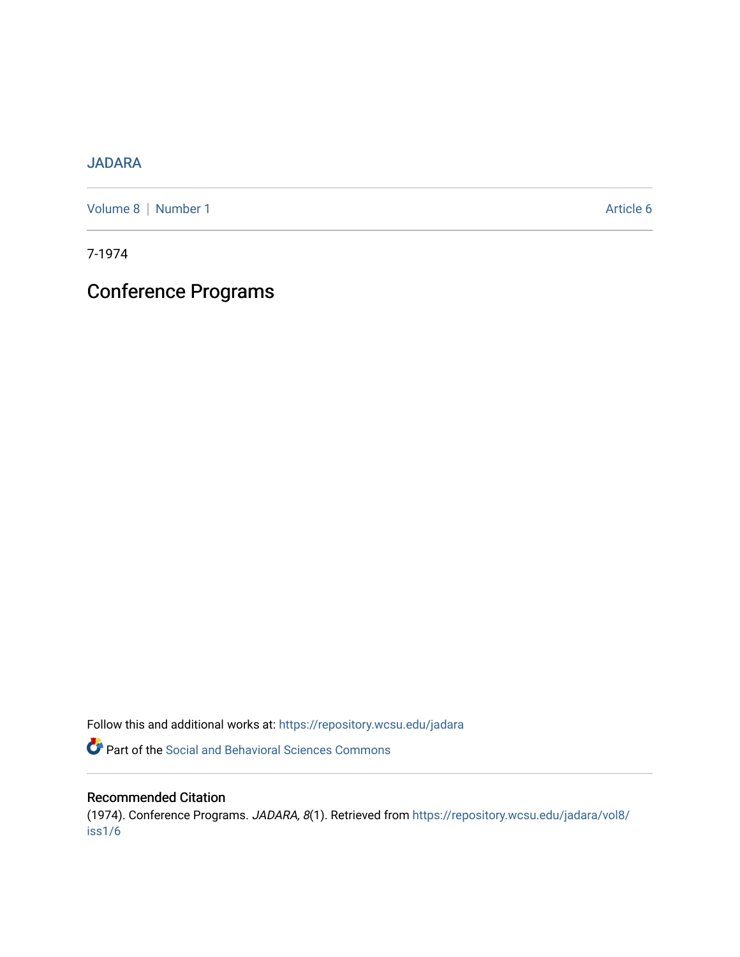## [JADARA](https://repository.wcsu.edu/jadara)

[Volume 8](https://repository.wcsu.edu/jadara/vol8) | [Number 1](https://repository.wcsu.edu/jadara/vol8/iss1) Article 6

7-1974

# Conference Programs

Follow this and additional works at: [https://repository.wcsu.edu/jadara](https://repository.wcsu.edu/jadara?utm_source=repository.wcsu.edu%2Fjadara%2Fvol8%2Fiss1%2F6&utm_medium=PDF&utm_campaign=PDFCoverPages)

Part of the [Social and Behavioral Sciences Commons](http://network.bepress.com/hgg/discipline/316?utm_source=repository.wcsu.edu%2Fjadara%2Fvol8%2Fiss1%2F6&utm_medium=PDF&utm_campaign=PDFCoverPages) 

## Recommended Citation

(1974). Conference Programs. JADARA, 8(1). Retrieved from [https://repository.wcsu.edu/jadara/vol8/](https://repository.wcsu.edu/jadara/vol8/iss1/6?utm_source=repository.wcsu.edu%2Fjadara%2Fvol8%2Fiss1%2F6&utm_medium=PDF&utm_campaign=PDFCoverPages) [iss1/6](https://repository.wcsu.edu/jadara/vol8/iss1/6?utm_source=repository.wcsu.edu%2Fjadara%2Fvol8%2Fiss1%2F6&utm_medium=PDF&utm_campaign=PDFCoverPages)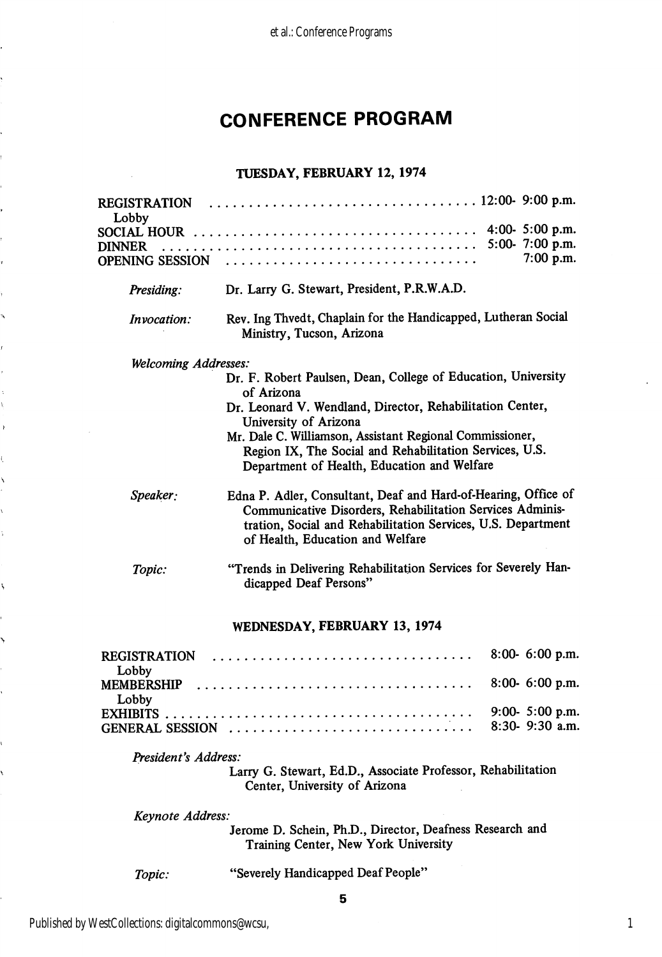## CONFERENCE PROGRAM

### TUESDAY, FEBRUARY 12, 1974

| <b>REGISTRATION</b>         |                                                                                                                                                                                                                                 |  |
|-----------------------------|---------------------------------------------------------------------------------------------------------------------------------------------------------------------------------------------------------------------------------|--|
| Lobby                       | 4:00- 5:00 p.m.                                                                                                                                                                                                                 |  |
| <b>DINNER</b>               | 5:00-7:00 p.m.                                                                                                                                                                                                                  |  |
|                             | $7:00$ p.m.<br>OPENING SESSION                                                                                                                                                                                                  |  |
| Presiding:                  | Dr. Larry G. Stewart, President, P.R.W.A.D.                                                                                                                                                                                     |  |
| Invocation:                 | Rev. Ing Thvedt, Chaplain for the Handicapped, Lutheran Social<br>Ministry, Tucson, Arizona                                                                                                                                     |  |
| <b>Welcoming Addresses:</b> |                                                                                                                                                                                                                                 |  |
|                             | Dr. F. Robert Paulsen, Dean, College of Education, University<br>of Arizona                                                                                                                                                     |  |
|                             | Dr. Leonard V. Wendland, Director, Rehabilitation Center,<br>University of Arizona                                                                                                                                              |  |
|                             | Mr. Dale C. Williamson, Assistant Regional Commissioner,<br>Region IX, The Social and Rehabilitation Services, U.S.<br>Department of Health, Education and Welfare                                                              |  |
| Speaker:                    | Edna P. Adler, Consultant, Deaf and Hard-of-Hearing, Office of<br>Communicative Disorders, Rehabilitation Services Adminis-<br>tration, Social and Rehabilitation Services, U.S. Department<br>of Health, Education and Welfare |  |
| Topic:                      | "Trends in Delivering Rehabilitation Services for Severely Han-<br>dicapped Deaf Persons"                                                                                                                                       |  |
|                             |                                                                                                                                                                                                                                 |  |

#### WEDNESDAY, FEBRUARY 13, 1974

| Lobby |  |
|-------|--|
| Lobby |  |
|       |  |

President's Address:

Larry G. Stewart, Ed.D., Associate Professor, Rehabihtation Center, University of Arizona

Keynote Address:

Jerome D. Schein, Ph.D., Director, Deafness Research and Training Center, New York University

Topic: "Severely Handicapped Deaf People"

5

 $\bar{ }$ 

Ñ

 $\ddot{\phantom{0}}$ 

١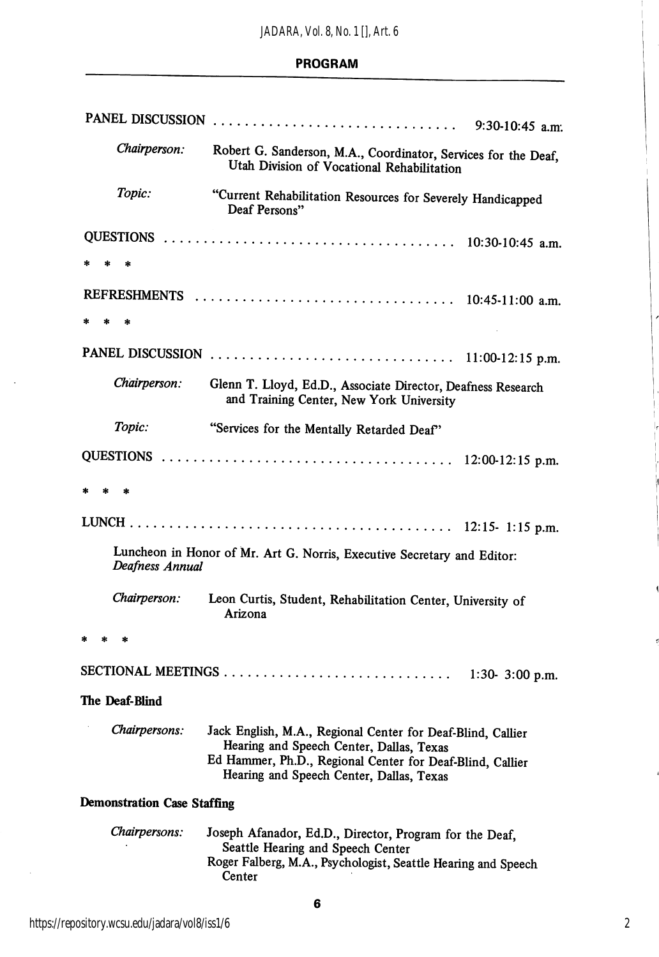## PROGRAM

|                                                                                            |                                                                                                                                                                                                                  | $9:30-10:45$ a.m. |
|--------------------------------------------------------------------------------------------|------------------------------------------------------------------------------------------------------------------------------------------------------------------------------------------------------------------|-------------------|
| Chairperson:                                                                               | Robert G. Sanderson, M.A., Coordinator, Services for the Deaf,<br>Utah Division of Vocational Rehabilitation                                                                                                     |                   |
| Topic:                                                                                     | "Current Rehabilitation Resources for Severely Handicapped<br>Deaf Persons"                                                                                                                                      |                   |
|                                                                                            |                                                                                                                                                                                                                  |                   |
| $*$                                                                                        |                                                                                                                                                                                                                  |                   |
|                                                                                            |                                                                                                                                                                                                                  |                   |
|                                                                                            |                                                                                                                                                                                                                  |                   |
|                                                                                            |                                                                                                                                                                                                                  |                   |
| Chairperson:                                                                               | Glenn T. Lloyd, Ed.D., Associate Director, Deafness Research<br>and Training Center, New York University                                                                                                         |                   |
| Topic:                                                                                     | "Services for the Mentally Retarded Deaf"                                                                                                                                                                        |                   |
|                                                                                            |                                                                                                                                                                                                                  |                   |
| 水<br>衾                                                                                     |                                                                                                                                                                                                                  |                   |
|                                                                                            |                                                                                                                                                                                                                  |                   |
| Luncheon in Honor of Mr. Art G. Norris, Executive Secretary and Editor:<br>Deafness Annual |                                                                                                                                                                                                                  |                   |
| Chairperson:                                                                               | Leon Curtis, Student, Rehabilitation Center, University of<br>Arizona                                                                                                                                            |                   |
|                                                                                            |                                                                                                                                                                                                                  |                   |
|                                                                                            |                                                                                                                                                                                                                  | 1:30- 3:00 p.m.   |
| The Deaf-Blind                                                                             |                                                                                                                                                                                                                  |                   |
| Chairpersons:                                                                              | Jack English, M.A., Regional Center for Deaf-Blind, Callier<br>Hearing and Speech Center, Dallas, Texas<br>Ed Hammer, Ph.D., Regional Center for Deaf-Blind, Callier<br>Hearing and Speech Center, Dallas, Texas |                   |
| <b>Demonstration Case Staffing</b>                                                         |                                                                                                                                                                                                                  |                   |
| Chairpersons:                                                                              | Joseph Afanador, Ed.D., Director, Program for the Deaf.<br>Seattle Hearing and Speech Center<br>Roger Falberg, M.A., Psychologist, Seattle Hearing and Speech<br>Center                                          |                   |
|                                                                                            | 6                                                                                                                                                                                                                |                   |

é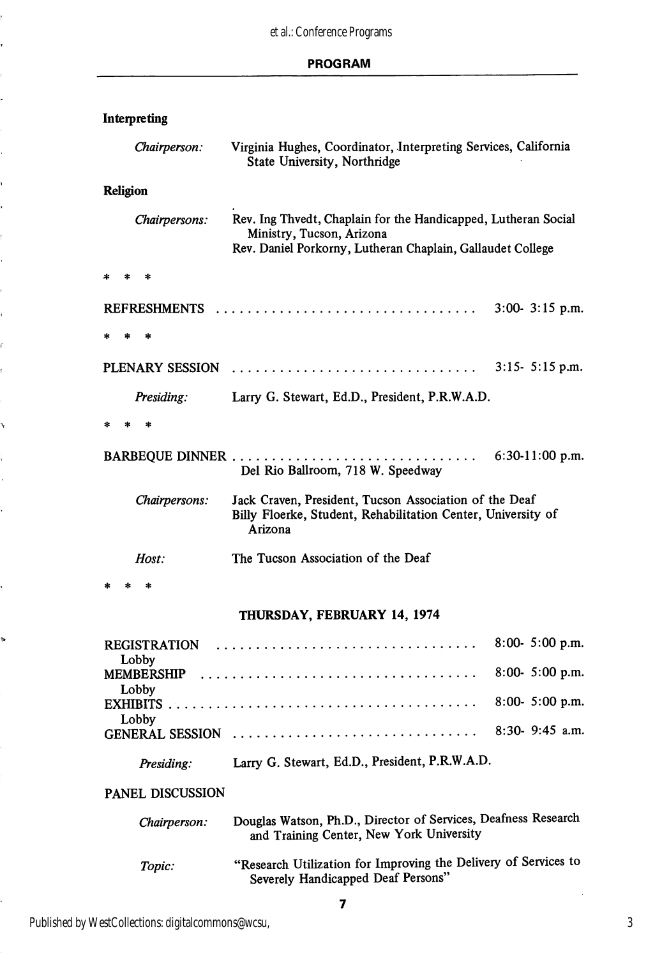#### PROGRAM

| Interpreting                    |                                                                                                                                                           |                    |
|---------------------------------|-----------------------------------------------------------------------------------------------------------------------------------------------------------|--------------------|
| Chairperson:                    | Virginia Hughes, Coordinator, Interpreting Services, California<br>State University, Northridge                                                           |                    |
| <b>Religion</b>                 |                                                                                                                                                           |                    |
| Chairpersons:                   | Rev. Ing Thvedt, Chaplain for the Handicapped, Lutheran Social<br>Ministry, Tucson, Arizona<br>Rev. Daniel Porkorny, Lutheran Chaplain, Gallaudet College |                    |
|                                 |                                                                                                                                                           |                    |
| <b>REFRESHMENTS</b>             |                                                                                                                                                           | $3:00 - 3:15$ p.m. |
| *<br>*                          |                                                                                                                                                           |                    |
| PLENARY SESSION                 |                                                                                                                                                           | $3:15 - 5:15$ p.m. |
| Presiding:                      | Larry G. Stewart, Ed.D., President, P.R.W.A.D.                                                                                                            |                    |
| 余<br>sk.                        |                                                                                                                                                           |                    |
|                                 | Del Rio Ballroom, 718 W. Speedway                                                                                                                         | $6:30-11:00$ p.m.  |
| Chairpersons:                   | Jack Craven, President, Tucson Association of the Deaf<br>Billy Floerke, Student, Rehabilitation Center, University of<br>Arizona                         |                    |
| Host:                           | The Tucson Association of the Deaf                                                                                                                        |                    |
| *                               |                                                                                                                                                           |                    |
|                                 | THURSDAY, FEBRUARY 14, 1974                                                                                                                               |                    |
| <b>REGISTRATION</b>             |                                                                                                                                                           | $8:00-5:00$ p.m.   |
| Lobby<br><b>MEMBERSHIP</b>      |                                                                                                                                                           | $8:00-5:00$ p.m.   |
| Lobby                           |                                                                                                                                                           | $8:00 - 5:00$ p.m. |
| Lobby<br><b>GENERAL SESSION</b> |                                                                                                                                                           | 8:30- 9:45 a.m.    |
| Presiding:                      | Larry G. Stewart, Ed.D., President, P.R.W.A.D.                                                                                                            |                    |
| PANEL DISCUSSION                |                                                                                                                                                           |                    |
| Chairperson:                    | Douglas Watson, Ph.D., Director of Services, Deafness Research<br>and Training Center, New York University                                                |                    |
| Topic:                          | "Research Utilization for Improving the Delivery of Services to<br>Severely Handicapped Deaf Persons"                                                     |                    |

ł.

¥,

ŕ. ł,

k,

Ŷ. k,

ŗ. k,

ł i.

ŕ ŗ

٦,

Ĵ. Ŷ.

ł,

į.

5

í.

3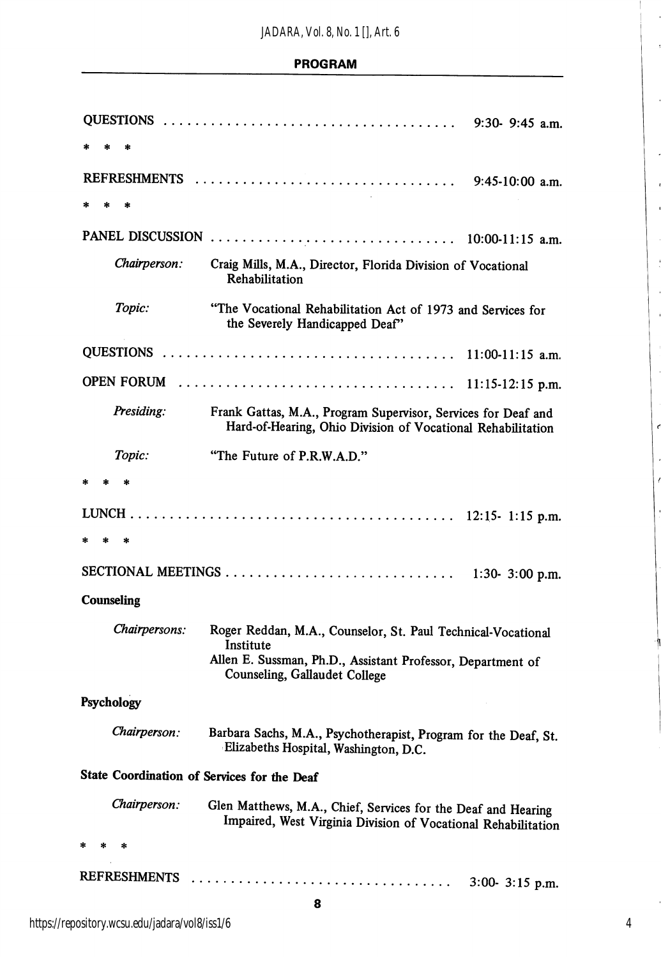|                                             | $9:30 - 9:45$ a.m.                                                                                                                                                        |  |
|---------------------------------------------|---------------------------------------------------------------------------------------------------------------------------------------------------------------------------|--|
| ۵k                                          |                                                                                                                                                                           |  |
| 案<br>×                                      |                                                                                                                                                                           |  |
|                                             |                                                                                                                                                                           |  |
|                                             |                                                                                                                                                                           |  |
| Chairperson:                                | Craig Mills, M.A., Director, Florida Division of Vocational<br>Rehabilitation                                                                                             |  |
| Topic:                                      | "The Vocational Rehabilitation Act of 1973 and Services for<br>the Severely Handicapped Deaf"                                                                             |  |
|                                             |                                                                                                                                                                           |  |
| OPEN FORUM                                  | 11:15-12:15 p.m.                                                                                                                                                          |  |
| Presiding:                                  | Frank Gattas, M.A., Program Supervisor, Services for Deaf and<br>Hard-of-Hearing, Ohio Division of Vocational Rehabilitation                                              |  |
| Topic:                                      | "The Future of P.R.W.A.D."                                                                                                                                                |  |
| $\star$<br>sk.                              |                                                                                                                                                                           |  |
|                                             |                                                                                                                                                                           |  |
| *                                           |                                                                                                                                                                           |  |
|                                             |                                                                                                                                                                           |  |
| Counseling                                  |                                                                                                                                                                           |  |
| Chairpersons:                               | Roger Reddan, M.A., Counselor, St. Paul Technical-Vocational<br>Institute<br>Allen E. Sussman, Ph.D., Assistant Professor, Department of<br>Counseling, Gallaudet College |  |
| Psychology                                  |                                                                                                                                                                           |  |
| Chairperson:                                | Barbara Sachs, M.A., Psychotherapist, Program for the Deaf, St.<br>Elizabeths Hospital, Washington, D.C.                                                                  |  |
| State Coordination of Services for the Deaf |                                                                                                                                                                           |  |
| Chairperson:                                | Glen Matthews, M.A., Chief, Services for the Deaf and Hearing<br>Impaired, West Virginia Division of Vocational Rehabilitation                                            |  |
| *<br>泳                                      |                                                                                                                                                                           |  |
| <b>REFRESHMENTS</b>                         | 3:00- 3:15 p.m.                                                                                                                                                           |  |
|                                             | 8                                                                                                                                                                         |  |

4

 $\cdot$ 

 $\overline{a}$ 

 $\ddot{\phantom{0}}$ 

 $\overline{\phantom{a}}$  $\overline{1}$ 

J

 $\epsilon$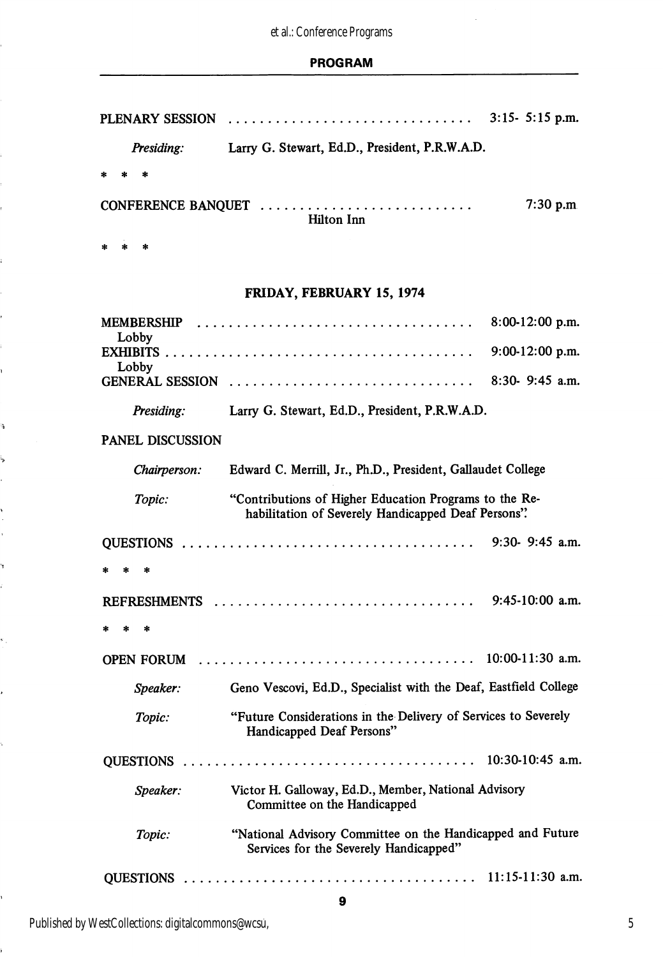PLENARY SESSION 3:15- 5:15 p.m.

| Presiding:                                      | Larry G. Stewart, Ed.D., President, P.R.W.A.D.                                                                |                    |
|-------------------------------------------------|---------------------------------------------------------------------------------------------------------------|--------------------|
|                                                 |                                                                                                               |                    |
| $7:30$ p.m.<br>CONFERENCE BANQUET<br>Hilton Inn |                                                                                                               |                    |
| 衆<br>×.                                         |                                                                                                               |                    |
|                                                 | FRIDAY, FEBRUARY 15, 1974                                                                                     |                    |
| MEMBERSHIP<br>Lobby                             |                                                                                                               | $8:00-12:00$ p.m.  |
| Lobby                                           |                                                                                                               | 9:00-12:00 p.m.    |
| <b>GENERAL SESSION</b>                          |                                                                                                               | 8:30- 9:45 a.m.    |
| Presiding:                                      | Larry G. Stewart, Ed.D., President, P.R.W.A.D.                                                                |                    |
| <b>PANEL DISCUSSION</b>                         |                                                                                                               |                    |
| Chairperson:                                    | Edward C. Merrill, Jr., Ph.D., President, Gallaudet College                                                   |                    |
| Topic:                                          | "Contributions of Higher Education Programs to the Re-<br>habilitation of Severely Handicapped Deaf Persons". |                    |
|                                                 |                                                                                                               | $9:30 - 9:45$ a.m. |
| ۰k                                              |                                                                                                               |                    |
|                                                 | REFRESHMENTS                                                                                                  | $9:45-10:00$ a.m.  |
| *<br>*                                          |                                                                                                               |                    |
| OPEN FORUM                                      |                                                                                                               | $10:00-11:30$ a.m. |
| Speaker:                                        | Geno Vescovi, Ed.D., Specialist with the Deaf, Eastfield College                                              |                    |
| Topic:                                          | "Future Considerations in the Delivery of Services to Severely<br>Handicapped Deaf Persons"                   |                    |
|                                                 |                                                                                                               | $10:30-10:45$ a.m. |
| Speaker:                                        | Victor H. Galloway, Ed.D., Member, National Advisory<br>Committee on the Handicapped                          |                    |
| Topic:                                          | "National Advisory Committee on the Handicapped and Future<br>Services for the Severely Handicapped"          |                    |
|                                                 |                                                                                                               |                    |
|                                                 | 9                                                                                                             |                    |

Published by WestCollections: digitalcommons@wcsu,

i

,

ì.

ä,

Ļ, ł,

 $\frac{1}{2}$  $\mathbf{r}$ 

4 í

Ÿ,

,

ţ.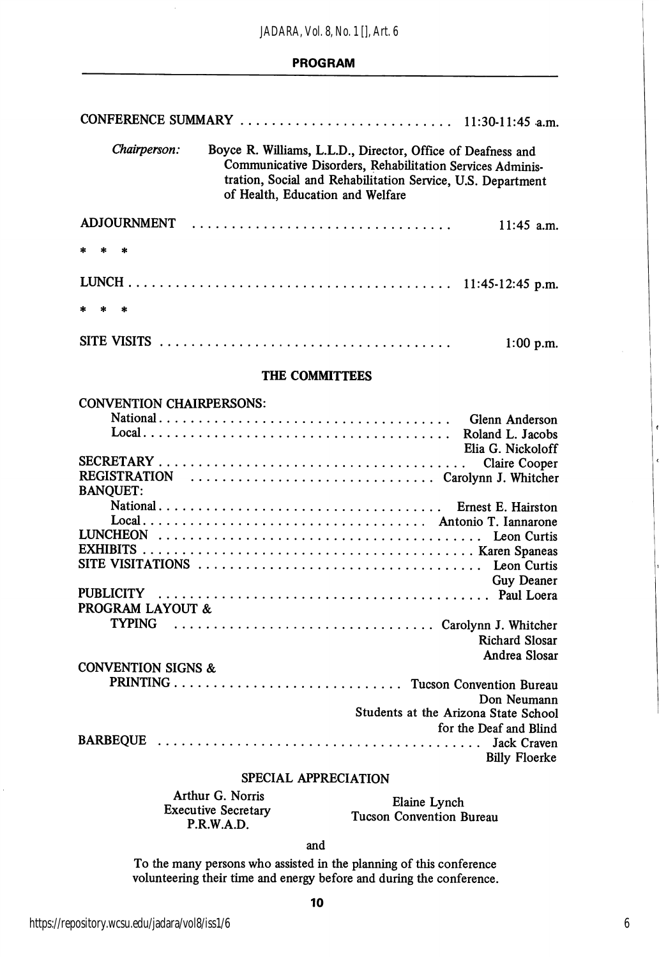#### PROGRAM

|                                                    | CONFERENCE SUMMARY<br>$11:30-11:45$ a.m.                                                                                                                                                                                    |
|----------------------------------------------------|-----------------------------------------------------------------------------------------------------------------------------------------------------------------------------------------------------------------------------|
| Chairperson:                                       | Boyce R. Williams, L.L.D., Director, Office of Deafness and<br>Communicative Disorders, Rehabilitation Services Adminis-<br>tration, Social and Rehabilitation Service, U.S. Department<br>of Health, Education and Welfare |
| ADJOURNMENT                                        | 11:45 a.m.                                                                                                                                                                                                                  |
| $\ast$<br>$\ast$                                   |                                                                                                                                                                                                                             |
|                                                    | $1:00$ p.m.                                                                                                                                                                                                                 |
|                                                    | <b>THE COMMITTEES</b>                                                                                                                                                                                                       |
| <b>CONVENTION CHAIRPERSONS:</b><br><b>BANQUET:</b> | Elia G. Nickoloff<br>Claire Cooper                                                                                                                                                                                          |
|                                                    | Guy Deaner                                                                                                                                                                                                                  |
| <b>PROGRAM LAYOUT &amp;</b><br><b>TYPING</b>       | <b>Richard Slosar</b><br>Andrea Slosar                                                                                                                                                                                      |
| <b>CONVENTION SIGNS &amp;</b>                      |                                                                                                                                                                                                                             |

PRINTING Tucson Convention Bureau Don Neumann Students at the Arizona State School for the Deaf and Blind BARBEQUE Jack Craven Billy Floerke

#### SPECIAL APPRECIATION

Arthur G. Norris Elaine Lynch<br>Executive Secretary Fusion Convention B

cutive Secretary<br>P.R.W.A.D.

and

To the many persons who assisted in the planning of this conference volunteering their time and energy before and during the conference.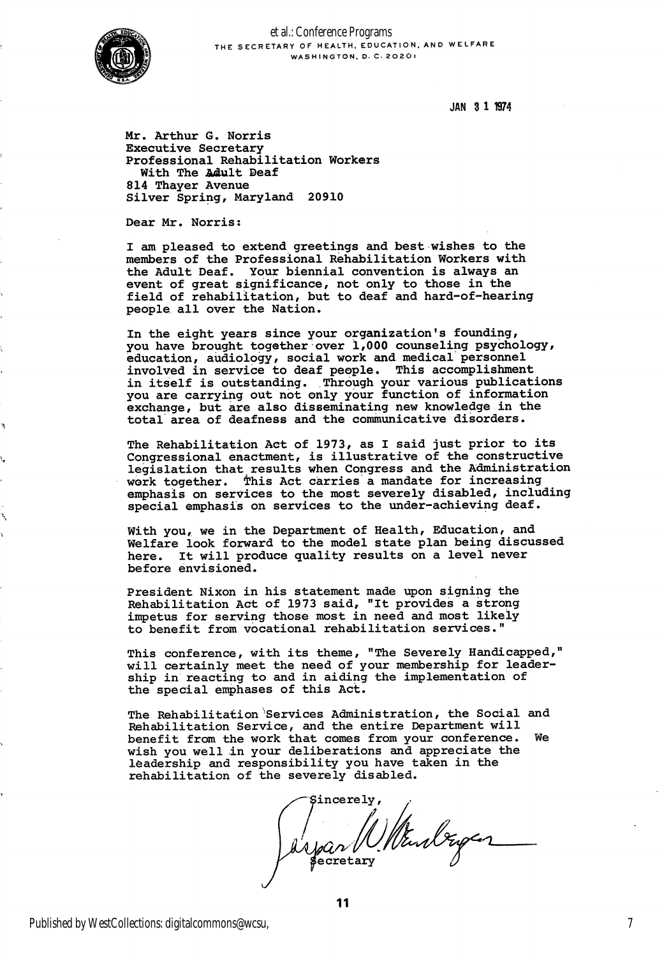

THE SECRETARY OF HEALTH. EDUCATION. AND WELFARE WASHINGTON. D. C. 2020l et al.: Conference Programs

JAN 3 1 1974

Mr. Arthur G. Norris Executive Secretary Professional Rehabilitation Workers With The Adult Deaf 814 Thayer Avenue Silver Spring, Maryland 20910

Dear Mr. Norris:

I am pleased to extend greetings and best wishes to the members of the Professional Rehabilitation Workers with the Adult Deaf. Your biennial convention is always an event of great significance, not only to those in the field of rehabilitation, but to deaf and hard-of-hearing people all over the Nation.

In the eight years since your organization's founding, you have brought together over 1,000 counseling psychology, education, audiology, social work and medical personnel involved in service to deaf people. This accomplishment in itself is outstanding. Through your various publications you are carrying out not only your function of information exchange, but are also disseminating new knowledge in the total area of deafness and the communicative disorders.

The Rehabilitation Act of 1973, as I said just prior to its Congressional enactment, is illustrative of the constructive legislation that results when Congress and the Administration work together, "this Act carries a mandate for increasing emphasis on services to the most severely disabled, including special emphasis on services to the under-achieving deaf.

With you, we in the Department of Health, Education, and Welfare look forward to the model state plan being discussed here. It will produce quality results on a level never before envisioned.

President Nixon in his statement made upon signing the Rehabilitation Act of 1973 said, "It provides a strong impetus for serving those most in need and most likely to benefit from vocational rehabilitation services."

This conference, with its theme, "The Severely Handicapped," will certainly meet the need of your membership for leader ship in reacting to and in aiding the implementation of the special emphases of this Act.

The Rehabilitation Services Administration, the Social and Rehabilitation Service, and the entire Department will benefit from the work that comes from your conference. We wish you well in your deliberations and appreciate the leadership and responsibility you have taken in the rehabilitation of the severely disabled.

sincerely,<br>jan *Mundryen* ecretary